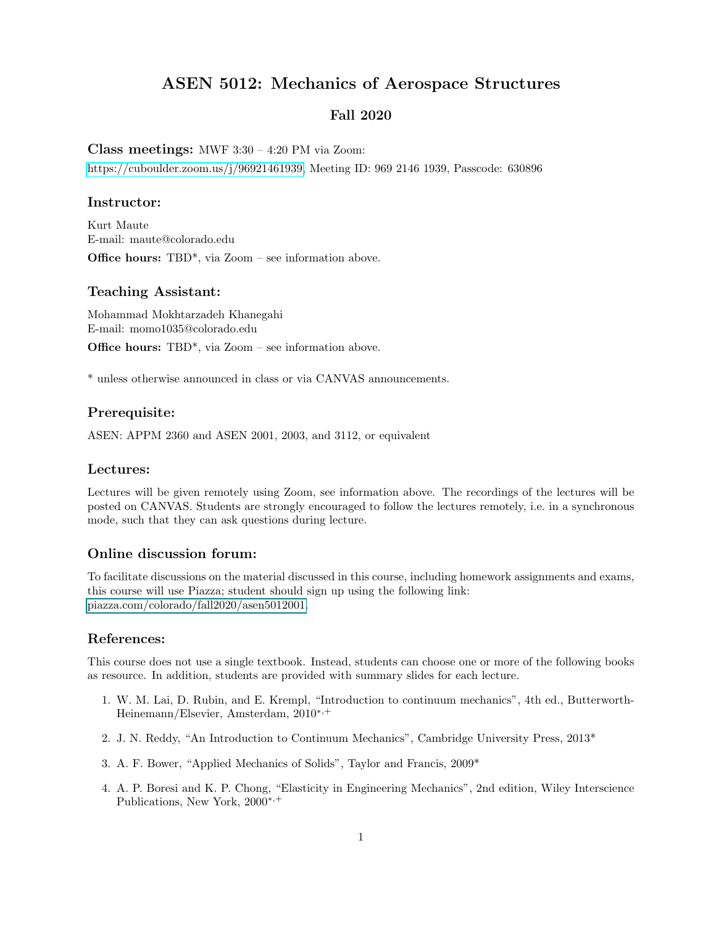# ASEN 5012: Mechanics of Aerospace Structures

## Fall 2020

#### <span id="page-0-0"></span>Class meetings: MWF 3:30 – 4:20 PM via Zoom:

[https://cuboulder.zoom.us/j/96921461939,](https://cuboulder.zoom.us/j/96921461939) Meeting ID: 969 2146 1939, Passcode: 630896

## Instructor:

Kurt Maute E-mail: maute@colorado.edu Office hours: TBD\*, via Zoom – see information above.

#### Teaching Assistant:

Mohammad Mokhtarzadeh Khanegahi E-mail: momo1035@colorado.edu

Office hours: TBD\*, via Zoom – see information above.

\* unless otherwise announced in class or via CANVAS announcements.

## Prerequisite:

ASEN: APPM 2360 and ASEN 2001, 2003, and 3112, or equivalent

#### Lectures:

Lectures will be given remotely using Zoom, see information above. The recordings of the lectures will be posted on CANVAS. Students are strongly encouraged to follow the lectures remotely, i.e. in a synchronous mode, such that they can ask questions during lecture.

## Online discussion forum:

To facilitate discussions on the material discussed in this course, including homework assignments and exams, this course will use Piazza; student should sign up using the following link: piazza.com/colorado/fall2020/asen5012001.

## References:

This course does not use a single textbook. Instead, students can choose one or more of the following books as resource. In addition, students are provided with summary slides for each lecture.

- 1. W. M. Lai, D. Rubin, and E. Krempl, "Introduction to continuum mechanics", 4th ed., Butterworth-Heinemann/Elsevier, Amsterdam, 2010<sup>∗</sup>,<sup>+</sup>
- 2. J. N. Reddy, "An Introduction to Continuum Mechanics", Cambridge University Press, 2013\*
- 3. A. F. Bower, "Applied Mechanics of Solids", Taylor and Francis, 2009\*
- 4. A. P. Boresi and K. P. Chong, "Elasticity in Engineering Mechanics", 2nd edition, Wiley Interscience Publications, New York, 2000<sup>∗</sup>,<sup>+</sup>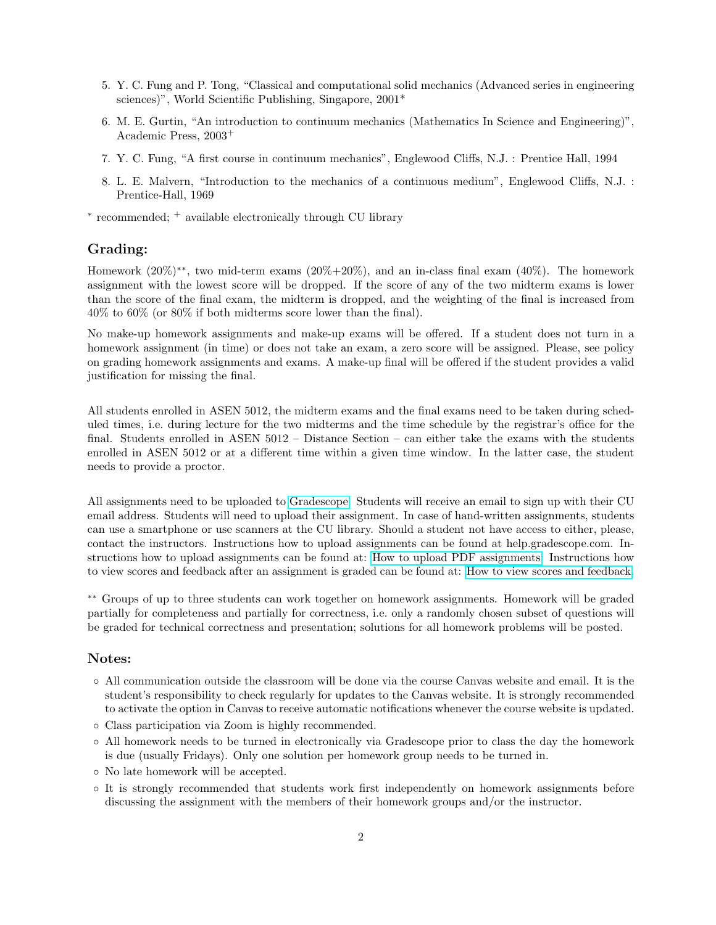- 5. Y. C. Fung and P. Tong, "Classical and computational solid mechanics (Advanced series in engineering sciences)", World Scientific Publishing, Singapore, 2001\*
- 6. M. E. Gurtin, "An introduction to continuum mechanics (Mathematics In Science and Engineering)", Academic Press, 2003<sup>+</sup>
- 7. Y. C. Fung, "A first course in continuum mechanics", Englewood Cliffs, N.J. : Prentice Hall, 1994
- 8. L. E. Malvern, "Introduction to the mechanics of a continuous medium", Englewood Cliffs, N.J. : Prentice-Hall, 1969

∗ recommended; <sup>+</sup> available electronically through CU library

#### Grading:

Homework (20%)∗∗, two mid-term exams (20%+20%), and an in-class final exam (40%). The homework assignment with the lowest score will be dropped. If the score of any of the two midterm exams is lower than the score of the final exam, the midterm is dropped, and the weighting of the final is increased from 40% to 60% (or 80% if both midterms score lower than the final).

No make-up homework assignments and make-up exams will be offered. If a student does not turn in a homework assignment (in time) or does not take an exam, a zero score will be assigned. Please, see policy on grading homework assignments and exams. A make-up final will be offered if the student provides a valid justification for missing the final.

All students enrolled in ASEN 5012, the midterm exams and the final exams need to be taken during scheduled times, i.e. during lecture for the two midterms and the time schedule by the registrar's office for the final. Students enrolled in ASEN 5012 – Distance Section – can either take the exams with the students enrolled in ASEN 5012 or at a different time within a given time window. In the latter case, the student needs to provide a proctor.

All assignments need to be uploaded to [Gradescope.](https://www.gradescope.com/) Students will receive an email to sign up with their CU email address. Students will need to upload their assignment. In case of hand-written assignments, students can use a smartphone or use scanners at the CU library. Should a student not have access to either, please, contact the instructors. Instructions how to upload assignments can be found at help.gradescope.com. Instructions how to upload assignments can be found at: [How to upload PDF assignments.](https://www.youtube.com/watch?v=KMPoby5g_nE) Instructions how to view scores and feedback after an assignment is graded can be found at: [How to view scores and feedback.](https://www.youtube.com/watch?time_continue=2&v=TOHCkI12mh0)

∗∗ Groups of up to three students can work together on homework assignments. Homework will be graded partially for completeness and partially for correctness, i.e. only a randomly chosen subset of questions will be graded for technical correctness and presentation; solutions for all homework problems will be posted.

#### Notes:

- All communication outside the classroom will be done via the course Canvas website and email. It is the student's responsibility to check regularly for updates to the Canvas website. It is strongly recommended to activate the option in Canvas to receive automatic notifications whenever the course website is updated.
- Class participation via Zoom is highly recommended.
- All homework needs to be turned in electronically via Gradescope prior to class the day the homework is due (usually Fridays). Only one solution per homework group needs to be turned in.
- No late homework will be accepted.
- It is strongly recommended that students work first independently on homework assignments before discussing the assignment with the members of their homework groups and/or the instructor.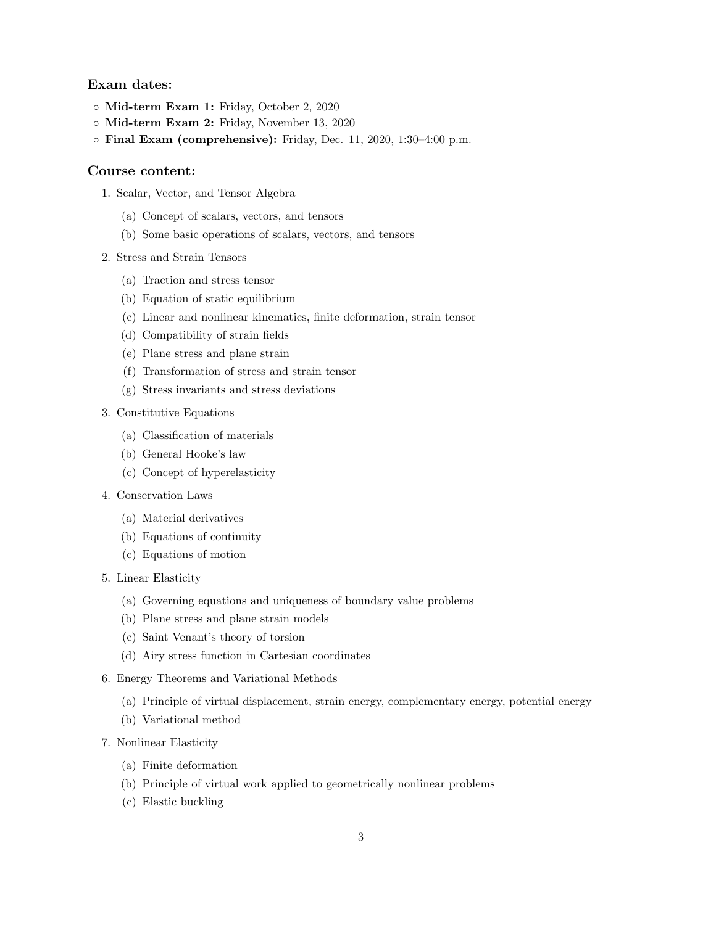## Exam dates:

- Mid-term Exam 1: Friday, October 2, 2020
- Mid-term Exam 2: Friday, November 13, 2020
- Final Exam (comprehensive): Friday, Dec. 11, 2020, 1:30–4:00 p.m.

### Course content:

- 1. Scalar, Vector, and Tensor Algebra
	- (a) Concept of scalars, vectors, and tensors
	- (b) Some basic operations of scalars, vectors, and tensors
- 2. Stress and Strain Tensors
	- (a) Traction and stress tensor
	- (b) Equation of static equilibrium
	- (c) Linear and nonlinear kinematics, finite deformation, strain tensor
	- (d) Compatibility of strain fields
	- (e) Plane stress and plane strain
	- (f) Transformation of stress and strain tensor
	- (g) Stress invariants and stress deviations
- 3. Constitutive Equations
	- (a) Classification of materials
	- (b) General Hooke's law
	- (c) Concept of hyperelasticity
- 4. Conservation Laws
	- (a) Material derivatives
	- (b) Equations of continuity
	- (c) Equations of motion
- 5. Linear Elasticity
	- (a) Governing equations and uniqueness of boundary value problems
	- (b) Plane stress and plane strain models
	- (c) Saint Venant's theory of torsion
	- (d) Airy stress function in Cartesian coordinates
- 6. Energy Theorems and Variational Methods
	- (a) Principle of virtual displacement, strain energy, complementary energy, potential energy
	- (b) Variational method
- 7. Nonlinear Elasticity
	- (a) Finite deformation
	- (b) Principle of virtual work applied to geometrically nonlinear problems
	- (c) Elastic buckling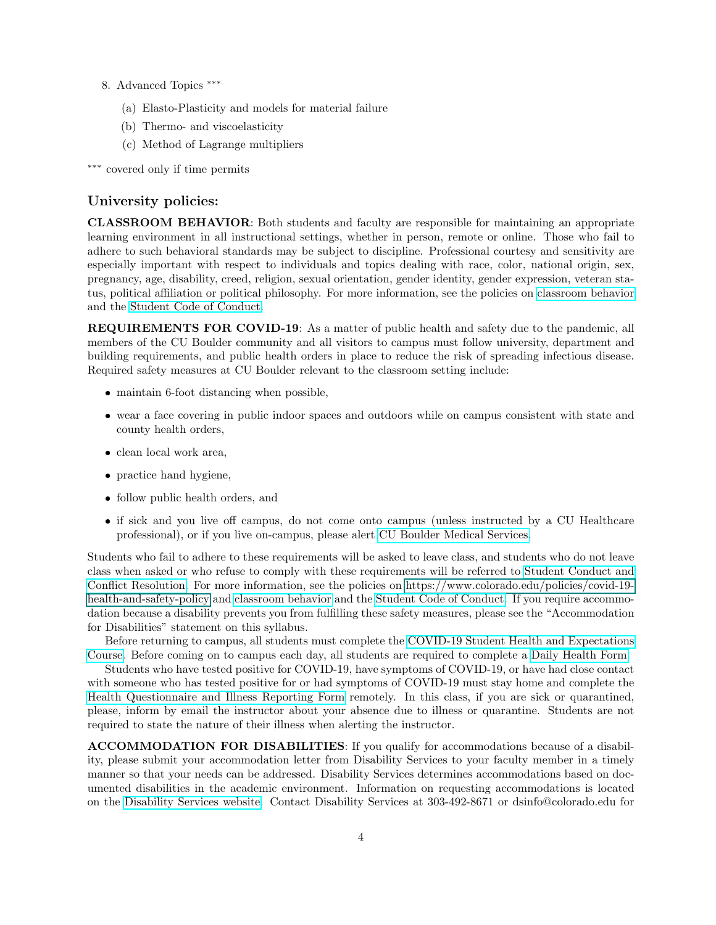- 8. Advanced Topics ∗∗∗
	- (a) Elasto-Plasticity and models for material failure
	- (b) Thermo- and viscoelasticity
	- (c) Method of Lagrange multipliers

∗∗∗ covered only if time permits

## University policies:

CLASSROOM BEHAVIOR: Both students and faculty are responsible for maintaining an appropriate learning environment in all instructional settings, whether in person, remote or online. Those who fail to adhere to such behavioral standards may be subject to discipline. Professional courtesy and sensitivity are especially important with respect to individuals and topics dealing with race, color, national origin, sex, pregnancy, age, disability, creed, religion, sexual orientation, gender identity, gender expression, veteran status, political affiliation or political philosophy. For more information, see the policies on [classroom behavior](http://www.colorado.edu/policies/student-classroom-and-course-related-behavior) and the [Student Code of Conduct.](https://www.colorado.edu/sccr/sites/default/files/attached-files/2020-2021_student_code_of_conduct_0.pdf)

REQUIREMENTS FOR COVID-19: As a matter of public health and safety due to the pandemic, all members of the CU Boulder community and all visitors to campus must follow university, department and building requirements, and public health orders in place to reduce the risk of spreading infectious disease. Required safety measures at CU Boulder relevant to the classroom setting include:

- maintain 6-foot distancing when possible,
- wear a face covering in public indoor spaces and outdoors while on campus consistent with state and county health orders,
- $\bullet\,$  clean local work area,
- practice hand hygiene,
- follow public health orders, and
- if sick and you live off campus, do not come onto campus (unless instructed by a CU Healthcare professional), or if you live on-campus, please alert [CU Boulder Medical Services.](https://www.colorado.edu/healthcenter/coronavirus-updates/symptoms-and-what-do-if-you-feel-sick)

Students who fail to adhere to these requirements will be asked to leave class, and students who do not leave class when asked or who refuse to comply with these requirements will be referred to [Student Conduct and](https://www.colorado.edu/sccr/) [Conflict Resolution.](https://www.colorado.edu/sccr/) For more information, see the policies on [https://www.colorado.edu/policies/covid-19](#page-0-0) [health-and-safety-policy](#page-0-0) and [classroom behavior](http://www.colorado.edu/policies/student-classroom-and-course-related-behavior) and the [Student Code of Conduct.](http://www.colorado.edu/osccr/) If you require accommodation because a disability prevents you from fulfilling these safety measures, please see the "Accommodation for Disabilities" statement on this syllabus.

Before returning to campus, all students must complete the [COVID-19 Student Health and Expectations](https://www.colorado.edu/protect-our-herd/how#anchor1) [Course.](https://www.colorado.edu/protect-our-herd/how#anchor1) Before coming on to campus each day, all students are required to complete a [Daily Health Form.](https://www.colorado.edu/protect-our-herd/daily-health-form)

Students who have tested positive for COVID-19, have symptoms of COVID-19, or have had close contact with someone who has tested positive for or had symptoms of COVID-19 must stay home and complete the [Health Questionnaire and Illness Reporting Form](https://www.colorado.edu/protect-our-herd/daily-health-form) remotely. In this class, if you are sick or quarantined, please, inform by email the instructor about your absence due to illness or quarantine. Students are not required to state the nature of their illness when alerting the instructor.

ACCOMMODATION FOR DISABILITIES: If you qualify for accommodations because of a disability, please submit your accommodation letter from Disability Services to your faculty member in a timely manner so that your needs can be addressed. Disability Services determines accommodations based on documented disabilities in the academic environment. Information on requesting accommodations is located on the [Disability Services website.](https://www.colorado.edu/disabilityservices/) Contact Disability Services at 303-492-8671 or dsinfo@colorado.edu for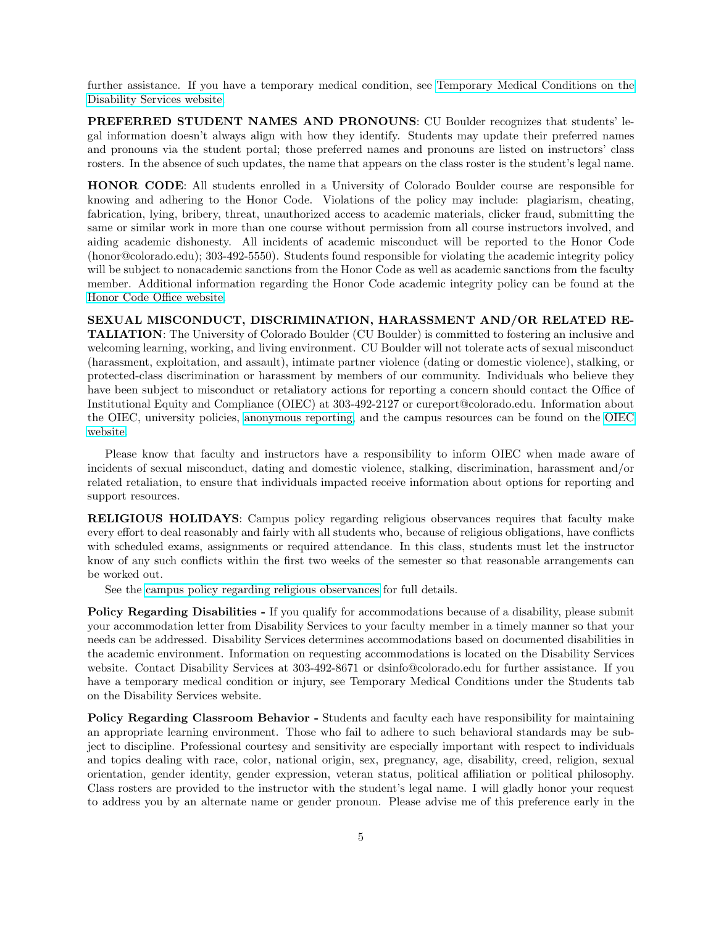further assistance. If you have a temporary medical condition, see [Temporary Medical Conditions on the](http://www.colorado.edu/disabilityservices/students/temporary-medical-conditions) [Disability Services website.](http://www.colorado.edu/disabilityservices/students/temporary-medical-conditions)

PREFERRED STUDENT NAMES AND PRONOUNS: CU Boulder recognizes that students' legal information doesn't always align with how they identify. Students may update their preferred names and pronouns via the student portal; those preferred names and pronouns are listed on instructors' class rosters. In the absence of such updates, the name that appears on the class roster is the student's legal name.

HONOR CODE: All students enrolled in a University of Colorado Boulder course are responsible for knowing and adhering to the Honor Code. Violations of the policy may include: plagiarism, cheating, fabrication, lying, bribery, threat, unauthorized access to academic materials, clicker fraud, submitting the same or similar work in more than one course without permission from all course instructors involved, and aiding academic dishonesty. All incidents of academic misconduct will be reported to the Honor Code (honor@colorado.edu); 303-492-5550). Students found responsible for violating the academic integrity policy will be subject to nonacademic sanctions from the Honor Code as well as academic sanctions from the faculty member. Additional information regarding the Honor Code academic integrity policy can be found at the [Honor Code Office website.](https://www.colorado.edu/osccr/honor-code)

SEXUAL MISCONDUCT, DISCRIMINATION, HARASSMENT AND/OR RELATED RE-TALIATION: The University of Colorado Boulder (CU Boulder) is committed to fostering an inclusive and welcoming learning, working, and living environment. CU Boulder will not tolerate acts of sexual misconduct (harassment, exploitation, and assault), intimate partner violence (dating or domestic violence), stalking, or protected-class discrimination or harassment by members of our community. Individuals who believe they have been subject to misconduct or retaliatory actions for reporting a concern should contact the Office of Institutional Equity and Compliance (OIEC) at 303-492-2127 or cureport@colorado.edu. Information about the OIEC, university policies, [anonymous reporting,](https://cuboulder.qualtrics.com/jfe/form/SV_0PnqVK4kkIJIZnf) and the campus resources can be found on the [OIEC](http://www.colorado.edu/institutionalequity/) [website.](http://www.colorado.edu/institutionalequity/)

Please know that faculty and instructors have a responsibility to inform OIEC when made aware of incidents of sexual misconduct, dating and domestic violence, stalking, discrimination, harassment and/or related retaliation, to ensure that individuals impacted receive information about options for reporting and support resources.

RELIGIOUS HOLIDAYS: Campus policy regarding religious observances requires that faculty make every effort to deal reasonably and fairly with all students who, because of religious obligations, have conflicts with scheduled exams, assignments or required attendance. In this class, students must let the instructor know of any such conflicts within the first two weeks of the semester so that reasonable arrangements can be worked out.

See the [campus policy regarding religious observances](http://www.colorado.edu/policies/observance-religious-holidays-and-absences-classes-andor-exams) for full details.

Policy Regarding Disabilities - If you qualify for accommodations because of a disability, please submit your accommodation letter from Disability Services to your faculty member in a timely manner so that your needs can be addressed. Disability Services determines accommodations based on documented disabilities in the academic environment. Information on requesting accommodations is located on the Disability Services website. Contact Disability Services at 303-492-8671 or dsinfo@colorado.edu for further assistance. If you have a temporary medical condition or injury, see Temporary Medical Conditions under the Students tab on the Disability Services website.

Policy Regarding Classroom Behavior - Students and faculty each have responsibility for maintaining an appropriate learning environment. Those who fail to adhere to such behavioral standards may be subject to discipline. Professional courtesy and sensitivity are especially important with respect to individuals and topics dealing with race, color, national origin, sex, pregnancy, age, disability, creed, religion, sexual orientation, gender identity, gender expression, veteran status, political affiliation or political philosophy. Class rosters are provided to the instructor with the student's legal name. I will gladly honor your request to address you by an alternate name or gender pronoun. Please advise me of this preference early in the